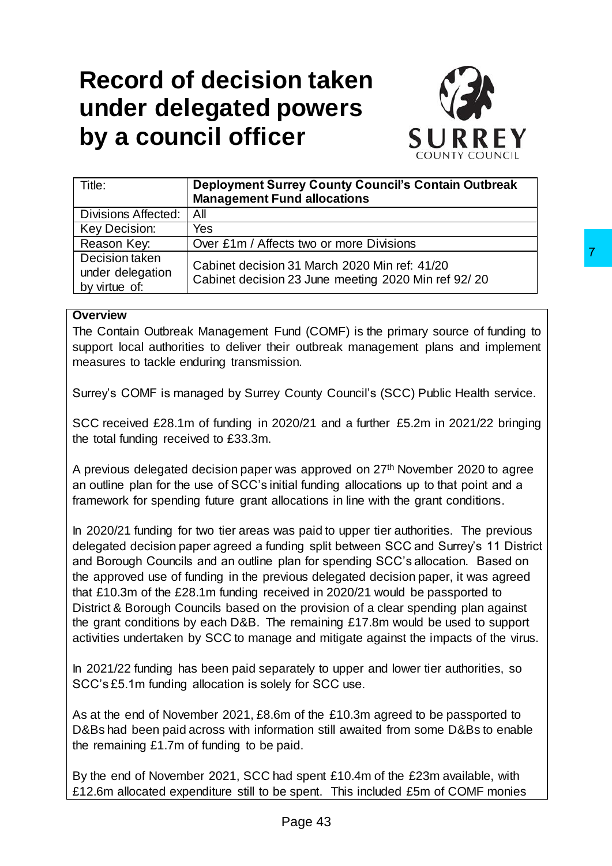# **Record of decision taken under delegated powers by a council officer**



| Title:                                              | <b>Deployment Surrey County Council's Contain Outbreak</b>                                           |  |  |
|-----------------------------------------------------|------------------------------------------------------------------------------------------------------|--|--|
|                                                     | <b>Management Fund allocations</b>                                                                   |  |  |
| <b>Divisions Affected:</b>                          | All                                                                                                  |  |  |
| Key Decision:                                       | Yes                                                                                                  |  |  |
| Reason Key:                                         | Over £1m / Affects two or more Divisions                                                             |  |  |
| Decision taken<br>under delegation<br>by virtue of: | Cabinet decision 31 March 2020 Min ref: 41/20<br>Cabinet decision 23 June meeting 2020 Min ref 92/20 |  |  |

#### **Overview**

The Contain Outbreak Management Fund (COMF) is the primary source of funding to support local authorities to deliver their outbreak management plans and implement measures to tackle enduring transmission.

Surrey's COMF is managed by Surrey County Council's (SCC) Public Health service.

SCC received £28.1m of funding in 2020/21 and a further £5.2m in 2021/22 bringing the total funding received to £33.3m.

A previous delegated decision paper was approved on 27th November 2020 to agree an outline plan for the use of SCC's initial funding allocations up to that point and a framework for spending future grant allocations in line with the grant conditions.

In 2020/21 funding for two tier areas was paid to upper tier authorities. The previous delegated decision paper agreed a funding split between SCC and Surrey's 11 District and Borough Councils and an outline plan for spending SCC's allocation. Based on the approved use of funding in the previous delegated decision paper, it was agreed that £10.3m of the £28.1m funding received in 2020/21 would be passported to District & Borough Councils based on the provision of a clear spending plan against the grant conditions by each D&B. The remaining £17.8m would be used to support activities undertaken by SCC to manage and mitigate against the impacts of the virus. 7<br>
131 March 2020 Min ref: 41/20<br>
131 March 2020 Min ref: 41/20<br>
123 June meeting 2020 Min ref: 41/20<br>
120 June meeting 2020 Min ref 92/ 20<br>
11 and (COMF) is the primary source of funding to<br>
ir outbreak management plans a

In 2021/22 funding has been paid separately to upper and lower tier authorities, so SCC's £5.1m funding allocation is solely for SCC use.

As at the end of November 2021, £8.6m of the £10.3m agreed to be passported to D&Bs had been paid across with information still awaited from some D&Bs to enable the remaining £1.7m of funding to be paid.

By the end of November 2021, SCC had spent £10.4m of the £23m available, with £12.6m allocated expenditure still to be spent. This included £5m of COMF monies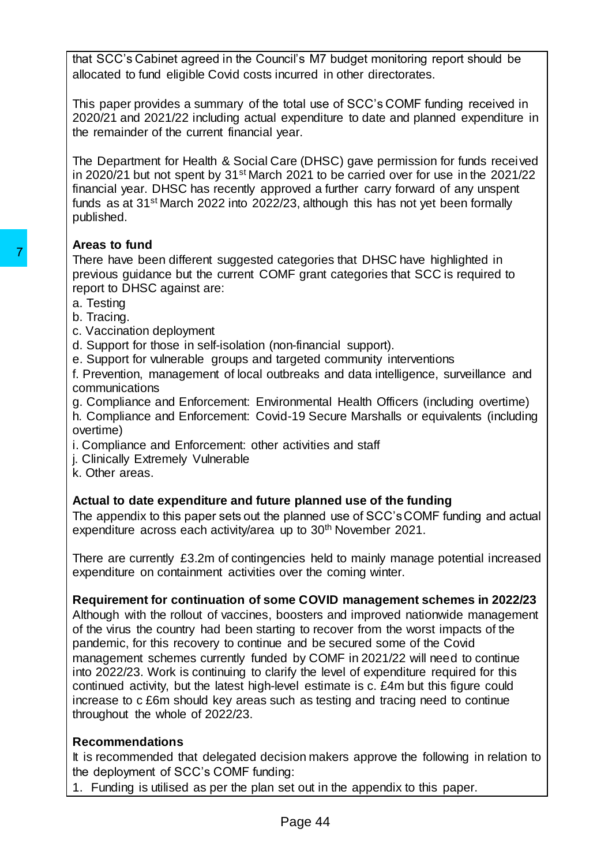that SCC's Cabinet agreed in the Council's M7 budget monitoring report should be allocated to fund eligible Covid costs incurred in other directorates.

This paper provides a summary of the total use of SCC's COMF funding received in 2020/21 and 2021/22 including actual expenditure to date and planned expenditure in the remainder of the current financial year.

The Department for Health & Social Care (DHSC) gave permission for funds received in 2020/21 but not spent by 31st March 2021 to be carried over for use in the 2021/22 financial year. DHSC has recently approved a further carry forward of any unspent funds as at 31st March 2022 into 2022/23, although this has not yet been formally published.

# **Areas to fund**

There have been different suggested categories that DHSC have highlighted in previous guidance but the current COMF grant categories that SCC is required to report to DHSC against are:

- a. Testing
- b. Tracing.
- c. Vaccination deployment
- d. Support for those in self-isolation (non-financial support).
- e. Support for vulnerable groups and targeted community interventions
- f. Prevention, management of local outbreaks and data intelligence, surveillance and communications
- g. Compliance and Enforcement: Environmental Health Officers (including overtime) h. Compliance and Enforcement: Covid-19 Secure Marshalls or equivalents (including overtime)
- i. Compliance and Enforcement: other activities and staff
- j. Clinically Extremely Vulnerable
- k. Other areas.

# **Actual to date expenditure and future planned use of the funding**

The appendix to this paper sets out the planned use of SCC's COMF funding and actual expenditure across each activity/area up to 30<sup>th</sup> November 2021.

There are currently £3.2m of contingencies held to mainly manage potential increased expenditure on containment activities over the coming winter.

## **Requirement for continuation of some COVID management schemes in 2022/23**

Although with the rollout of vaccines, boosters and improved nationwide management of the virus the country had been starting to recover from the worst impacts of the pandemic, for this recovery to continue and be secured some of the Covid management schemes currently funded by COMF in 2021/22 will need to continue into 2022/23. Work is continuing to clarify the level of expenditure required for this continued activity, but the latest high-level estimate is c. £4m but this figure could increase to c £6m should key areas such as testing and tracing need to continue throughout the whole of 2022/23. The have been different suggested categories<br>
previous guidance but the current COMF grant<br>
report to DHSC against are:<br>
the pave been different suggested categories<br>
ereport to DHSC against are:<br>
d. Support for these in s

## **Recommendations**

It is recommended that delegated decision makers approve the following in relation to the deployment of SCC's COMF funding:

1. Funding is utilised as per the plan set out in the appendix to this paper.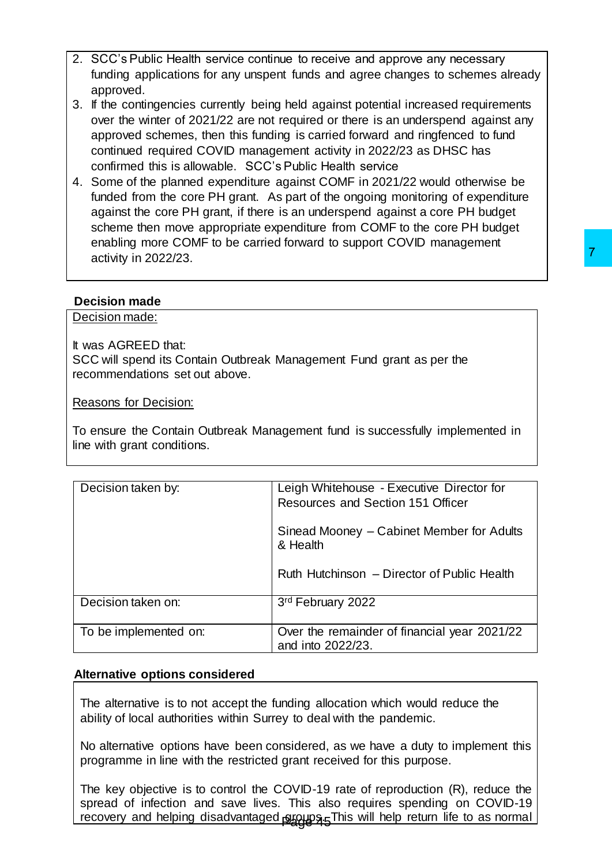- 2. SCC's Public Health service continue to receive and approve any necessary funding applications for any unspent funds and agree changes to schemes already approved.
- 3. If the contingencies currently being held against potential increased requirements over the winter of 2021/22 are not required or there is an underspend against any approved schemes, then this funding is carried forward and ringfenced to fund continued required COVID management activity in 2022/23 as DHSC has confirmed this is allowable. SCC's Public Health service
- 4. Some of the planned expenditure against COMF in 2021/22 would otherwise be funded from the core PH grant. As part of the ongoing monitoring of expenditure against the core PH grant, if there is an underspend against a core PH budget scheme then move appropriate expenditure from COMF to the core PH budget enabling more COMF to be carried forward to support COVID management activity in 2022/23.

#### **Decision made**

| activity in 2022/23.                                                  |                                                                                                                                                                                                                                                            |
|-----------------------------------------------------------------------|------------------------------------------------------------------------------------------------------------------------------------------------------------------------------------------------------------------------------------------------------------|
| <b>Decision made</b>                                                  |                                                                                                                                                                                                                                                            |
| Decision made:                                                        |                                                                                                                                                                                                                                                            |
| It was AGREED that:<br>recommendations set out above.                 | SCC will spend its Contain Outbreak Management Fund grant as per the                                                                                                                                                                                       |
| Reasons for Decision:                                                 |                                                                                                                                                                                                                                                            |
| line with grant conditions.                                           | To ensure the Contain Outbreak Management fund is successfully implemented in                                                                                                                                                                              |
| Decision taken by:                                                    | Leigh Whitehouse - Executive Director for<br>Resources and Section 151 Officer                                                                                                                                                                             |
|                                                                       | Sinead Mooney – Cabinet Member for Adults<br>& Health                                                                                                                                                                                                      |
|                                                                       | Ruth Hutchinson - Director of Public Health                                                                                                                                                                                                                |
| Decision taken on:                                                    | 3rd February 2022                                                                                                                                                                                                                                          |
| To be implemented on:                                                 | Over the remainder of financial year 2021/22<br>and into 2022/23.                                                                                                                                                                                          |
| <b>Alternative options considered</b>                                 |                                                                                                                                                                                                                                                            |
| ability of local authorities within Surrey to deal with the pandemic. | The alternative is to not accept the funding allocation which would reduce the                                                                                                                                                                             |
|                                                                       | No alternative options have been considered, as we have a duty to implement this<br>programme in line with the restricted grant received for this purpose.                                                                                                 |
|                                                                       | The key objective is to control the COVID-19 rate of reproduction $(R)$ , reduce the<br>spread of infection and save lives. This also requires spending on COVID-19<br>recovery and helping disadvantaged proups 5 This will help return life to as normal |

#### **Alternative options considered**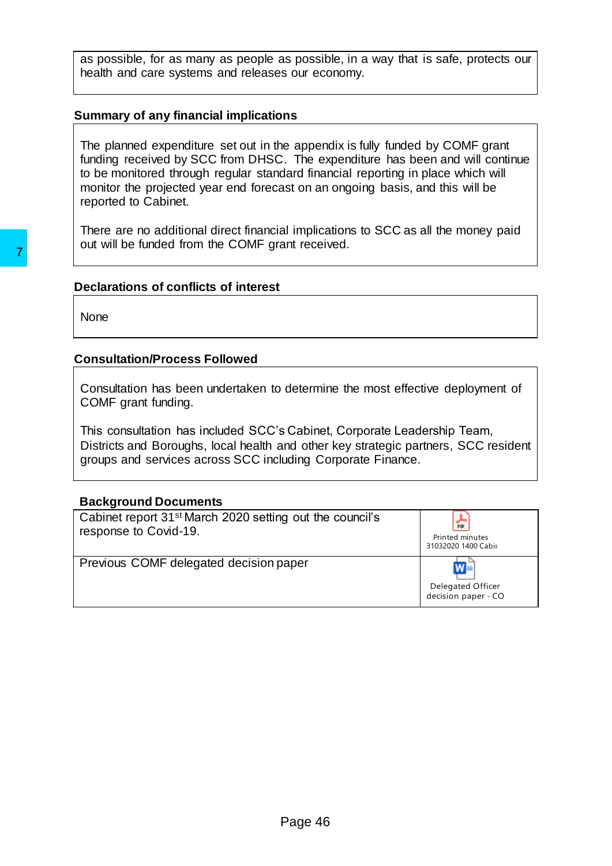as possible, for as many as people as possible, in a way that is safe, protects our health and care systems and releases our economy.

#### **Summary of any financial implications**

The planned expenditure set out in the appendix is fully funded by COMF grant funding received by SCC from DHSC. The expenditure has been and will continue to be monitored through regular standard financial reporting in place which will monitor the projected year end forecast on an ongoing basis, and this will be reported to Cabinet.

There are no additional direct financial implications to SCC as all the money paid out will be funded from the COMF grant received.

#### **Declarations of conflicts of interest**

#### **Consultation/Process Followed**

#### **Background Documents**

| None                                                                                                                                                                                                                           |                                                     |
|--------------------------------------------------------------------------------------------------------------------------------------------------------------------------------------------------------------------------------|-----------------------------------------------------|
| <b>Consultation/Process Followed</b>                                                                                                                                                                                           |                                                     |
| Consultation has been undertaken to determine the most effective deployment of<br>COMF grant funding.                                                                                                                          |                                                     |
| This consultation has included SCC's Cabinet, Corporate Leadership Team,<br>Districts and Boroughs, local health and other key strategic partners, SCC resident<br>groups and services across SCC including Corporate Finance. |                                                     |
| <b>Background Documents</b>                                                                                                                                                                                                    |                                                     |
| Cabinet report 31 <sup>st</sup> March 2020 setting out the council's<br>response to Covid-19.                                                                                                                                  | كحر<br>PDF<br>Printed minutes<br>31032020 1400 Cabi |
| Previous COMF delegated decision paper                                                                                                                                                                                         | Delegated Officer<br>decision paper - CO            |
|                                                                                                                                                                                                                                |                                                     |
|                                                                                                                                                                                                                                |                                                     |
|                                                                                                                                                                                                                                |                                                     |
|                                                                                                                                                                                                                                |                                                     |
|                                                                                                                                                                                                                                |                                                     |
|                                                                                                                                                                                                                                |                                                     |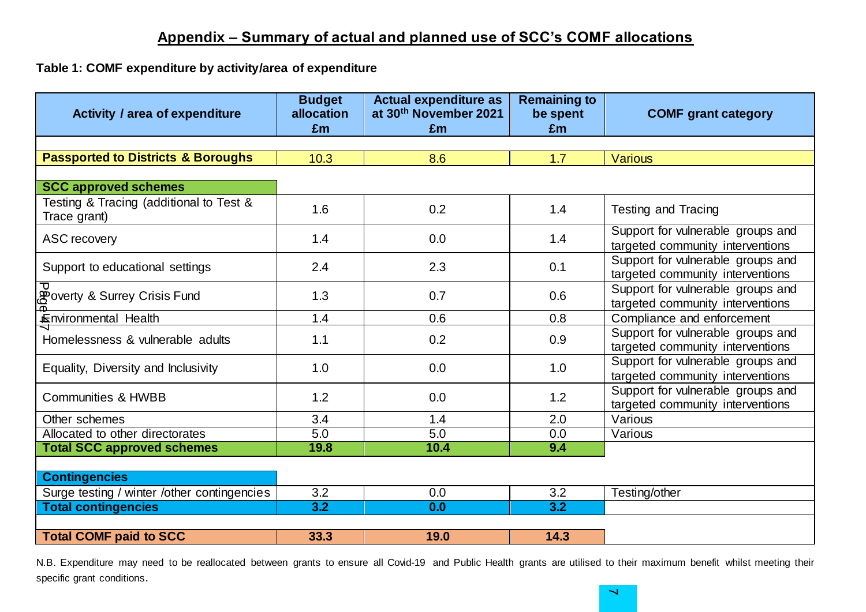# **Appendix – Summary of actual and planned use of SCC's COMF allocations**

#### **Table 1: COMF expenditure by activity/area of expenditure**

| <b>Activity / area of expenditure</b>                   | <b>Budget</b><br>allocation<br>£m | <b>Actual expenditure as</b><br>at 30th November 2021<br>£m | <b>Remaining to</b><br>be spent<br>£m | <b>COMF</b> grant category                                            |
|---------------------------------------------------------|-----------------------------------|-------------------------------------------------------------|---------------------------------------|-----------------------------------------------------------------------|
| <b>Passported to Districts &amp; Boroughs</b>           | 10.3                              | 8.6                                                         |                                       | <b>Various</b>                                                        |
|                                                         |                                   |                                                             | 1.7                                   |                                                                       |
| <b>SCC approved schemes</b>                             |                                   |                                                             |                                       |                                                                       |
| Testing & Tracing (additional to Test &<br>Trace grant) | 1.6                               | 0.2                                                         | 1.4                                   | <b>Testing and Tracing</b>                                            |
| <b>ASC recovery</b>                                     | 1.4                               | 0.0                                                         | 1.4                                   | Support for vulnerable groups and<br>targeted community interventions |
| Support to educational settings                         | 2.4                               | 2.3                                                         | 0.1                                   | Support for vulnerable groups and<br>targeted community interventions |
| Poverty & Surrey Crisis Fund                            | 1.3                               | 0.7                                                         | 0.6                                   | Support for vulnerable groups and<br>targeted community interventions |
| Environmental Health                                    | 1.4                               | 0.6                                                         | 0.8                                   | Compliance and enforcement                                            |
| Homelessness & vulnerable adults                        | 1.1                               | 0.2                                                         | 0.9                                   | Support for vulnerable groups and<br>targeted community interventions |
| Equality, Diversity and Inclusivity                     | 1.0                               | 0.0                                                         | 1.0                                   | Support for vulnerable groups and<br>targeted community interventions |
| <b>Communities &amp; HWBB</b>                           | 1.2                               | 0.0                                                         | 1.2                                   | Support for vulnerable groups and<br>targeted community interventions |
| Other schemes                                           | 3.4                               | 1.4                                                         | 2.0                                   | Various                                                               |
| Allocated to other directorates                         | 5.0                               | 5.0                                                         | 0.0                                   | Various                                                               |
| <b>Total SCC approved schemes</b>                       | 19.8                              | 10.4                                                        | 9.4                                   |                                                                       |
| <b>Contingencies</b>                                    |                                   |                                                             |                                       |                                                                       |
| Surge testing / winter /other contingencies             | 3.2                               | 0.0                                                         | 3.2                                   | Testing/other                                                         |
| <b>Total contingencies</b>                              | 3.2                               | 0.0                                                         | 3.2                                   |                                                                       |
|                                                         |                                   |                                                             |                                       |                                                                       |
| <b>Total COMF paid to SCC</b>                           | 33.3                              | 19.0                                                        | 14.3                                  |                                                                       |

N.B. Expenditure may need to be reallocated between grants to ensure all Covid-19 and Public Health grants are utilised to their maximum benefit whilst meeting their specific grant conditions.